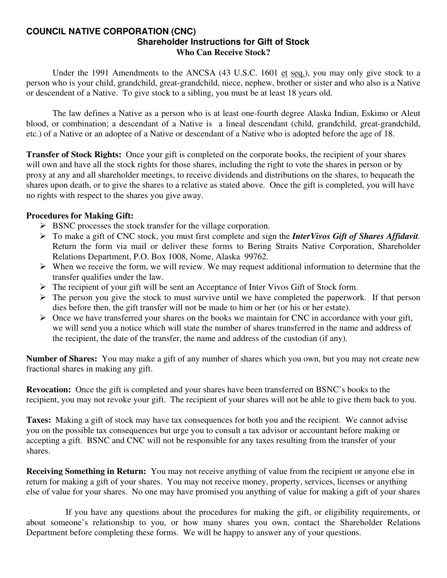#### **COUNCIL NATIVE CORPORATION (CNC) Shareholder Instructions for Gift of Stock Who Can Receive Stock?**

 Under the 1991 Amendments to the ANCSA (43 U.S.C. 1601 et seq.), you may only give stock to a person who is your child, grandchild, great-grandchild, niece, nephew, brother or sister and who also is a Native or descendent of a Native. To give stock to a sibling, you must be at least 18 years old.

 The law defines a Native as a person who is at least one-fourth degree Alaska Indian, Eskimo or Aleut blood, or combination; a descendant of a Native is a lineal descendant (child, grandchild, great-grandchild, etc.) of a Native or an adoptee of a Native or descendant of a Native who is adopted before the age of 18.

**Transfer of Stock Rights:** Once your gift is completed on the corporate books, the recipient of your shares will own and have all the stock rights for those shares, including the right to vote the shares in person or by proxy at any and all shareholder meetings, to receive dividends and distributions on the shares, to bequeath the shares upon death, or to give the shares to a relative as stated above. Once the gift is completed, you will have no rights with respect to the shares you give away.

### **Procedures for Making Gift:**

- $\triangleright$  BSNC processes the stock transfer for the village corporation.
- ¾ To make a gift of CNC stock, you must first complete and sign the *InterVivos Gift of Shares Affidavit.* Return the form via mail or deliver these forms to Bering Straits Native Corporation, Shareholder Relations Department, P.O. Box 1008, Nome, Alaska 99762.
- $\triangleright$  When we receive the form, we will review. We may request additional information to determine that the transfer qualifies under the law.
- $\triangleright$  The recipient of your gift will be sent an Acceptance of Inter Vivos Gift of Stock form.
- $\triangleright$  The person you give the stock to must survive until we have completed the paperwork. If that person dies before then, the gift transfer will not be made to him or her (or his or her estate).
- $\triangleright$  Once we have transferred your shares on the books we maintain for CNC in accordance with your gift, we will send you a notice which will state the number of shares transferred in the name and address of the recipient, the date of the transfer, the name and address of the custodian (if any).

**Number of Shares:** You may make a gift of any number of shares which you own, but you may not create new fractional shares in making any gift.

**Revocation:** Once the gift is completed and your shares have been transferred on BSNC's books to the recipient, you may not revoke your gift. The recipient of your shares will not be able to give them back to you.

**Taxes:** Making a gift of stock may have tax consequences for both you and the recipient. We cannot advise you on the possible tax consequences but urge you to consult a tax advisor or accountant before making or accepting a gift. BSNC and CNC will not be responsible for any taxes resulting from the transfer of your shares.

**Receiving Something in Return:** You may not receive anything of value from the recipient or anyone else in return for making a gift of your shares. You may not receive money, property, services, licenses or anything else of value for your shares. No one may have promised you anything of value for making a gift of your shares

 If you have any questions about the procedures for making the gift, or eligibility requirements, or about someone's relationship to you, or how many shares you own, contact the Shareholder Relations Department before completing these forms. We will be happy to answer any of your questions.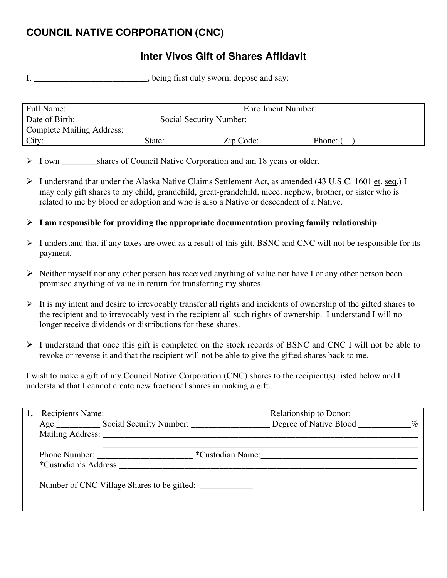# **COUNCIL NATIVE CORPORATION (CNC)**

## **Inter Vivos Gift of Shares Affidavit**

I, \_\_\_\_\_\_\_\_\_\_\_\_\_\_\_\_\_\_\_\_\_\_, being first duly sworn, depose and say:

| Full Name:                       |                         | <b>Enrollment Number:</b> |        |
|----------------------------------|-------------------------|---------------------------|--------|
| Date of Birth:                   | Social Security Number: |                           |        |
| <b>Complete Mailing Address:</b> |                         |                           |        |
| City:                            | State:                  | Zip Code:                 | Phone: |

> I own shares of Council Native Corporation and am 18 years or older.

- $\triangleright$  I understand that under the Alaska Native Claims Settlement Act, as amended (43 U.S.C. 1601 et. seq.) I may only gift shares to my child, grandchild, great-grandchild, niece, nephew, brother, or sister who is related to me by blood or adoption and who is also a Native or descendent of a Native.
- ¾ **I am responsible for providing the appropriate documentation proving family relationship**.
- $\triangleright$  I understand that if any taxes are owed as a result of this gift, BSNC and CNC will not be responsible for its payment.
- $\triangleright$  Neither myself nor any other person has received anything of value nor have I or any other person been promised anything of value in return for transferring my shares.
- $\triangleright$  It is my intent and desire to irrevocably transfer all rights and incidents of ownership of the gifted shares to the recipient and to irrevocably vest in the recipient all such rights of ownership. I understand I will no longer receive dividends or distributions for these shares.
- ¾ I understand that once this gift is completed on the stock records of BSNC and CNC I will not be able to revoke or reverse it and that the recipient will not be able to give the gifted shares back to me.

I wish to make a gift of my Council Native Corporation (CNC) shares to the recipient(s) listed below and I understand that I cannot create new fractional shares in making a gift.

|                      | Recipients Name: 1988                                                                                                                                                                                                          |                  |  |
|----------------------|--------------------------------------------------------------------------------------------------------------------------------------------------------------------------------------------------------------------------------|------------------|--|
|                      | Age: Social Security Number: Degree of Native Blood ________ %                                                                                                                                                                 |                  |  |
|                      | Mailing Address: New York 2014 19:30 and 2014 19:30 and 2014 19:30 and 2014 19:30 and 2014 19:30 and 2014 19:30 and 2014 19:30 and 2014 19:30 and 2014 19:30 and 2014 19:30 and 2014 19:30 and 2014 19:30 and 2014 19:30 and 2 |                  |  |
|                      |                                                                                                                                                                                                                                | *Custodian Name: |  |
| *Custodian's Address |                                                                                                                                                                                                                                |                  |  |
|                      | Number of CNC Village Shares to be gifted:                                                                                                                                                                                     |                  |  |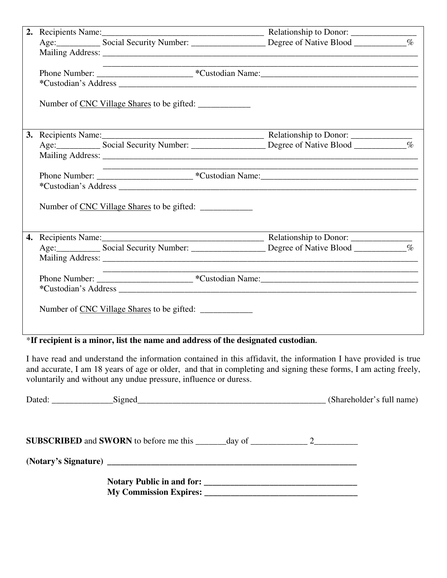|  | the control of the control of the control of the control of the control of |  |
|--|----------------------------------------------------------------------------|--|
|  |                                                                            |  |
|  |                                                                            |  |
|  | Number of CNC Village Shares to be gifted:                                 |  |
|  |                                                                            |  |
|  |                                                                            |  |
|  |                                                                            |  |
|  |                                                                            |  |
|  |                                                                            |  |
|  |                                                                            |  |
|  | Number of CNC Village Shares to be gifted:                                 |  |
|  |                                                                            |  |
|  |                                                                            |  |
|  |                                                                            |  |
|  |                                                                            |  |
|  |                                                                            |  |
|  |                                                                            |  |
|  | Number of CNC Village Shares to be gifted:                                 |  |

### \***If recipient is a minor, list the name and address of the designated custodian.**

I have read and understand the information contained in this affidavit, the information I have provided is true and accurate, I am 18 years of age or older, and that in completing and signing these forms, I am acting freely, voluntarily and without any undue pressure, influence or duress.

| Dated: Signed Contains Signed Contains and Signed Contains a series of the series of the Signed Contains and Signed Contains a series of the series of the series of the series of the series of the series of the series of t | (Shareholder's full name) |
|--------------------------------------------------------------------------------------------------------------------------------------------------------------------------------------------------------------------------------|---------------------------|
|                                                                                                                                                                                                                                |                           |
|                                                                                                                                                                                                                                |                           |
|                                                                                                                                                                                                                                |                           |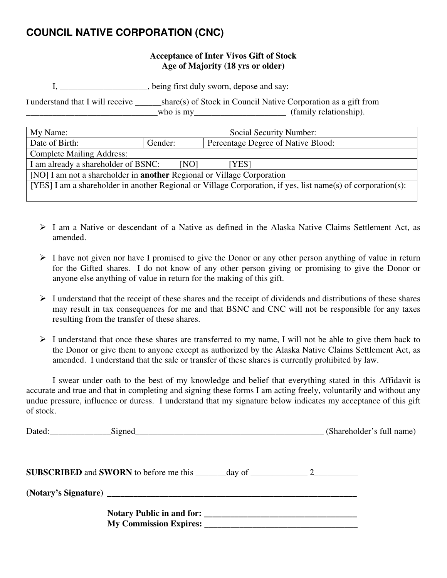## **COUNCIL NATIVE CORPORATION (CNC)**

### **Acceptance of Inter Vivos Gift of Stock Age of Majority (18 yrs or older)**

I, \_\_\_\_\_\_\_\_\_\_\_\_\_\_\_, being first duly sworn, depose and say:

I understand that I will receive \_\_\_\_\_\_share(s) of Stock in Council Native Corporation as a gift from \_\_\_\_\_\_\_\_\_\_\_\_\_\_\_\_\_\_\_\_\_\_\_\_\_\_\_\_\_\_who is my\_\_\_\_\_\_\_\_\_\_\_\_\_\_\_\_\_\_\_\_\_ (family relationship).

| My Name:                                                                                                     | Social Security Number: |                                    |  |
|--------------------------------------------------------------------------------------------------------------|-------------------------|------------------------------------|--|
| Date of Birth:                                                                                               | Gender:                 | Percentage Degree of Native Blood: |  |
| <b>Complete Mailing Address:</b>                                                                             |                         |                                    |  |
| I am already a shareholder of BSNC:<br>[NO]<br>[YES]                                                         |                         |                                    |  |
| [NO] I am not a shareholder in <b>another</b> Regional or Village Corporation                                |                         |                                    |  |
| [YES] I am a shareholder in another Regional or Village Corporation, if yes, list name(s) of corporation(s): |                         |                                    |  |
|                                                                                                              |                         |                                    |  |

- ¾ I am a Native or descendant of a Native as defined in the Alaska Native Claims Settlement Act, as amended.
- $\triangleright$  I have not given nor have I promised to give the Donor or any other person anything of value in return for the Gifted shares. I do not know of any other person giving or promising to give the Donor or anyone else anything of value in return for the making of this gift.
- $\triangleright$  I understand that the receipt of these shares and the receipt of dividends and distributions of these shares may result in tax consequences for me and that BSNC and CNC will not be responsible for any taxes resulting from the transfer of these shares.
- $\triangleright$  I understand that once these shares are transferred to my name, I will not be able to give them back to the Donor or give them to anyone except as authorized by the Alaska Native Claims Settlement Act, as amended. I understand that the sale or transfer of these shares is currently prohibited by law.

 I swear under oath to the best of my knowledge and belief that everything stated in this Affidavit is accurate and true and that in completing and signing these forms I am acting freely, voluntarily and without any undue pressure, influence or duress. I understand that my signature below indicates my acceptance of this gift of stock.

| Dated: Signed Signed Signed Signed Signed Signed Signed Signed Signed Signed Signed Signed Signed Signed Signed Signed Signed Signed Signed Signed Signed Signed Signed Signed Signed Signed Signed Signed Signed Signed Signe | (Shareholder's full name) |
|--------------------------------------------------------------------------------------------------------------------------------------------------------------------------------------------------------------------------------|---------------------------|
| <b>SUBSCRIBED</b> and <b>SWORN</b> to before me this $\_\_\_\_\_\_\_$ day of $\_\_\_\_\_\_$ 2                                                                                                                                  |                           |
|                                                                                                                                                                                                                                |                           |
| My Commission Expires:                                                                                                                                                                                                         |                           |